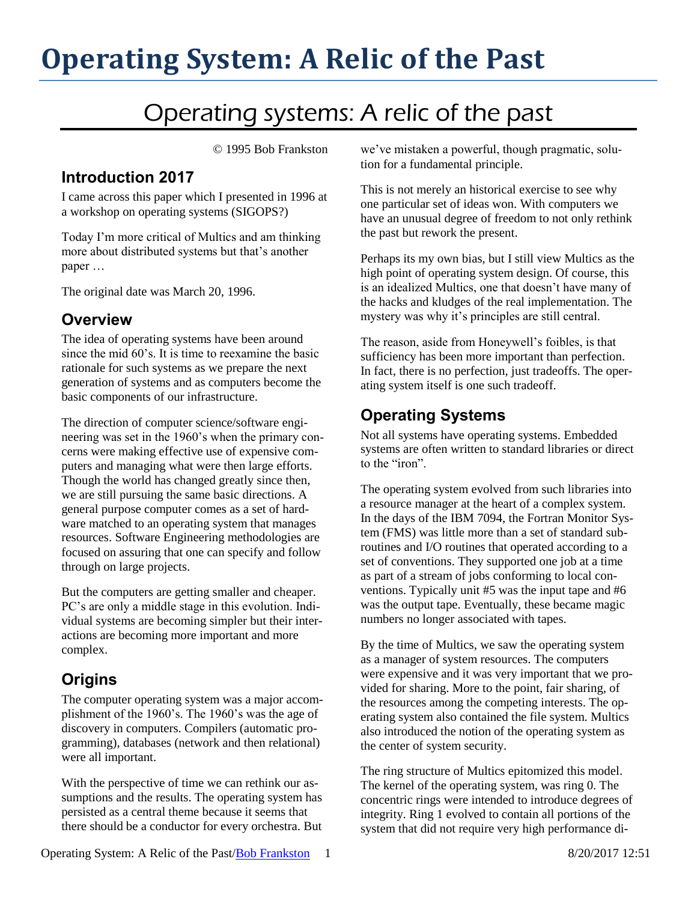# **Operating System: A Relic of the Past**

# Operating systems: A relic of the past

© 1995 Bob Frankston

#### **Introduction 2017**

I came across this paper which I presented in 1996 at a workshop on operating systems (SIGOPS?)

Today I'm more critical of Multics and am thinking more about distributed systems but that's another paper …

The original date was March 20, 1996.

#### **Overview**

The idea of operating systems have been around since the mid 60's. It is time to reexamine the basic rationale for such systems as we prepare the next generation of systems and as computers become the basic components of our infrastructure.

The direction of computer science/software engineering was set in the 1960's when the primary concerns were making effective use of expensive computers and managing what were then large efforts. Though the world has changed greatly since then, we are still pursuing the same basic directions. A general purpose computer comes as a set of hardware matched to an operating system that manages resources. Software Engineering methodologies are focused on assuring that one can specify and follow through on large projects.

But the computers are getting smaller and cheaper. PC's are only a middle stage in this evolution. Individual systems are becoming simpler but their interactions are becoming more important and more complex.

### **Origins**

The computer operating system was a major accomplishment of the 1960's. The 1960's was the age of discovery in computers. Compilers (automatic programming), databases (network and then relational) were all important.

With the perspective of time we can rethink our assumptions and the results. The operating system has persisted as a central theme because it seems that there should be a conductor for every orchestra. But we've mistaken a powerful, though pragmatic, solution for a fundamental principle.

This is not merely an historical exercise to see why one particular set of ideas won. With computers we have an unusual degree of freedom to not only rethink the past but rework the present.

Perhaps its my own bias, but I still view Multics as the high point of operating system design. Of course, this is an idealized Multics, one that doesn't have many of the hacks and kludges of the real implementation. The mystery was why it's principles are still central.

The reason, aside from Honeywell's foibles, is that sufficiency has been more important than perfection. In fact, there is no perfection, just tradeoffs. The operating system itself is one such tradeoff.

#### **Operating Systems**

Not all systems have operating systems. Embedded systems are often written to standard libraries or direct to the "iron".

The operating system evolved from such libraries into a resource manager at the heart of a complex system. In the days of the IBM 7094, the Fortran Monitor System (FMS) was little more than a set of standard subroutines and I/O routines that operated according to a set of conventions. They supported one job at a time as part of a stream of jobs conforming to local conventions. Typically unit #5 was the input tape and #6 was the output tape. Eventually, these became magic numbers no longer associated with tapes.

By the time of Multics, we saw the operating system as a manager of system resources. The computers were expensive and it was very important that we provided for sharing. More to the point, fair sharing, of the resources among the competing interests. The operating system also contained the file system. Multics also introduced the notion of the operating system as the center of system security.

The ring structure of Multics epitomized this model. The kernel of the operating system, was ring 0. The concentric rings were intended to introduce degrees of integrity. Ring 1 evolved to contain all portions of the system that did not require very high performance di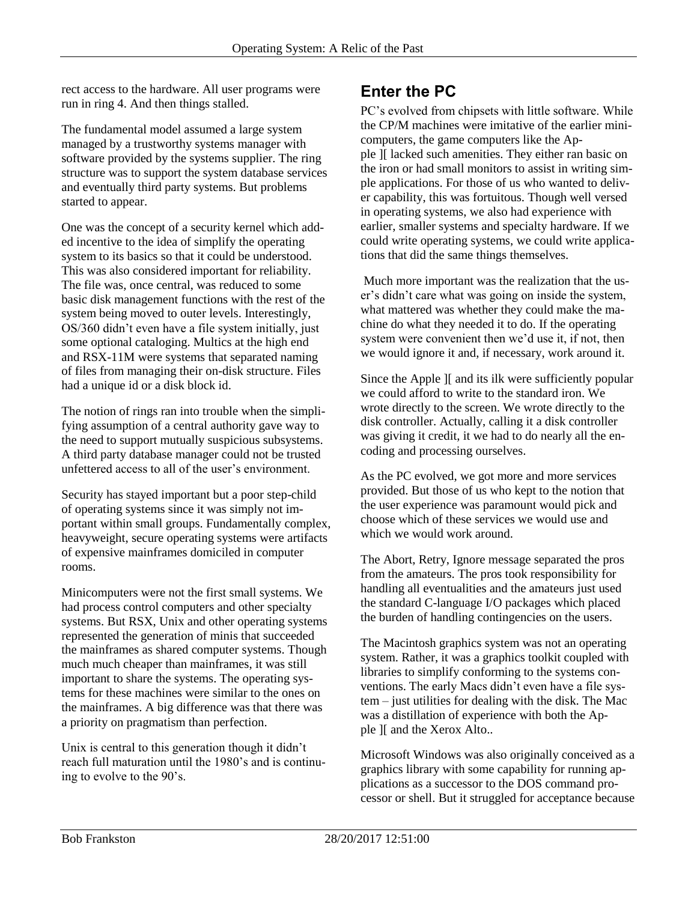rect access to the hardware. All user programs were run in ring 4. And then things stalled.

The fundamental model assumed a large system managed by a trustworthy systems manager with software provided by the systems supplier. The ring structure was to support the system database services and eventually third party systems. But problems started to appear.

One was the concept of a security kernel which added incentive to the idea of simplify the operating system to its basics so that it could be understood. This was also considered important for reliability. The file was, once central, was reduced to some basic disk management functions with the rest of the system being moved to outer levels. Interestingly, OS/360 didn't even have a file system initially, just some optional cataloging. Multics at the high end and RSX-11M were systems that separated naming of files from managing their on-disk structure. Files had a unique id or a disk block id.

The notion of rings ran into trouble when the simplifying assumption of a central authority gave way to the need to support mutually suspicious subsystems. A third party database manager could not be trusted unfettered access to all of the user's environment.

Security has stayed important but a poor step-child of operating systems since it was simply not important within small groups. Fundamentally complex, heavyweight, secure operating systems were artifacts of expensive mainframes domiciled in computer rooms.

Minicomputers were not the first small systems. We had process control computers and other specialty systems. But RSX, Unix and other operating systems represented the generation of minis that succeeded the mainframes as shared computer systems. Though much much cheaper than mainframes, it was still important to share the systems. The operating systems for these machines were similar to the ones on the mainframes. A big difference was that there was a priority on pragmatism than perfection.

Unix is central to this generation though it didn't reach full maturation until the 1980's and is continuing to evolve to the 90's.

#### **Enter the PC**

PC's evolved from chipsets with little software. While the CP/M machines were imitative of the earlier minicomputers, the game computers like the Apple ][ lacked such amenities. They either ran basic on the iron or had small monitors to assist in writing simple applications. For those of us who wanted to deliver capability, this was fortuitous. Though well versed in operating systems, we also had experience with earlier, smaller systems and specialty hardware. If we could write operating systems, we could write applications that did the same things themselves.

Much more important was the realization that the user's didn't care what was going on inside the system, what mattered was whether they could make the machine do what they needed it to do. If the operating system were convenient then we'd use it, if not, then we would ignore it and, if necessary, work around it.

Since the Apple ][ and its ilk were sufficiently popular we could afford to write to the standard iron. We wrote directly to the screen. We wrote directly to the disk controller. Actually, calling it a disk controller was giving it credit, it we had to do nearly all the encoding and processing ourselves.

As the PC evolved, we got more and more services provided. But those of us who kept to the notion that the user experience was paramount would pick and choose which of these services we would use and which we would work around.

The Abort, Retry, Ignore message separated the pros from the amateurs. The pros took responsibility for handling all eventualities and the amateurs just used the standard C-language I/O packages which placed the burden of handling contingencies on the users.

The Macintosh graphics system was not an operating system. Rather, it was a graphics toolkit coupled with libraries to simplify conforming to the systems conventions. The early Macs didn't even have a file system – just utilities for dealing with the disk. The Mac was a distillation of experience with both the Apple ][ and the Xerox Alto..

Microsoft Windows was also originally conceived as a graphics library with some capability for running applications as a successor to the DOS command processor or shell. But it struggled for acceptance because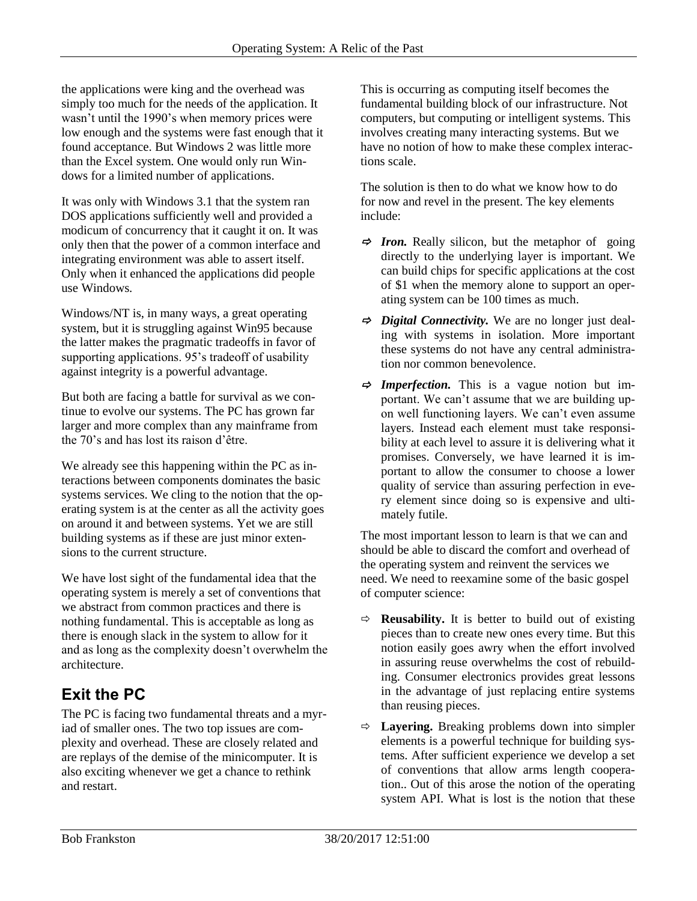the applications were king and the overhead was simply too much for the needs of the application. It wasn't until the 1990's when memory prices were low enough and the systems were fast enough that it found acceptance. But Windows 2 was little more than the Excel system. One would only run Windows for a limited number of applications.

It was only with Windows 3.1 that the system ran DOS applications sufficiently well and provided a modicum of concurrency that it caught it on. It was only then that the power of a common interface and integrating environment was able to assert itself. Only when it enhanced the applications did people use Windows.

Windows/NT is, in many ways, a great operating system, but it is struggling against Win95 because the latter makes the pragmatic tradeoffs in favor of supporting applications. 95's tradeoff of usability against integrity is a powerful advantage.

But both are facing a battle for survival as we continue to evolve our systems. The PC has grown far larger and more complex than any mainframe from the 70's and has lost its raison d'être.

We already see this happening within the PC as interactions between components dominates the basic systems services. We cling to the notion that the operating system is at the center as all the activity goes on around it and between systems. Yet we are still building systems as if these are just minor extensions to the current structure.

We have lost sight of the fundamental idea that the operating system is merely a set of conventions that we abstract from common practices and there is nothing fundamental. This is acceptable as long as there is enough slack in the system to allow for it and as long as the complexity doesn't overwhelm the architecture.

## **Exit the PC**

The PC is facing two fundamental threats and a myriad of smaller ones. The two top issues are complexity and overhead. These are closely related and are replays of the demise of the minicomputer. It is also exciting whenever we get a chance to rethink and restart.

This is occurring as computing itself becomes the fundamental building block of our infrastructure. Not computers, but computing or intelligent systems. This involves creating many interacting systems. But we have no notion of how to make these complex interactions scale.

The solution is then to do what we know how to do for now and revel in the present. The key elements include:

- $\Rightarrow$  **Iron.** Really silicon, but the metaphor of going directly to the underlying layer is important. We can build chips for specific applications at the cost of \$1 when the memory alone to support an operating system can be 100 times as much.
- *Digital Connectivity.* We are no longer just dealing with systems in isolation. More important these systems do not have any central administration nor common benevolence.
- $\Rightarrow$  **Imperfection.** This is a vague notion but important. We can't assume that we are building upon well functioning layers. We can't even assume layers. Instead each element must take responsibility at each level to assure it is delivering what it promises. Conversely, we have learned it is important to allow the consumer to choose a lower quality of service than assuring perfection in every element since doing so is expensive and ultimately futile.

The most important lesson to learn is that we can and should be able to discard the comfort and overhead of the operating system and reinvent the services we need. We need to reexamine some of the basic gospel of computer science:

- $\Rightarrow$  **Reusability.** It is better to build out of existing pieces than to create new ones every time. But this notion easily goes awry when the effort involved in assuring reuse overwhelms the cost of rebuilding. Consumer electronics provides great lessons in the advantage of just replacing entire systems than reusing pieces.
- $\Rightarrow$  **Layering.** Breaking problems down into simpler elements is a powerful technique for building systems. After sufficient experience we develop a set of conventions that allow arms length cooperation.. Out of this arose the notion of the operating system API. What is lost is the notion that these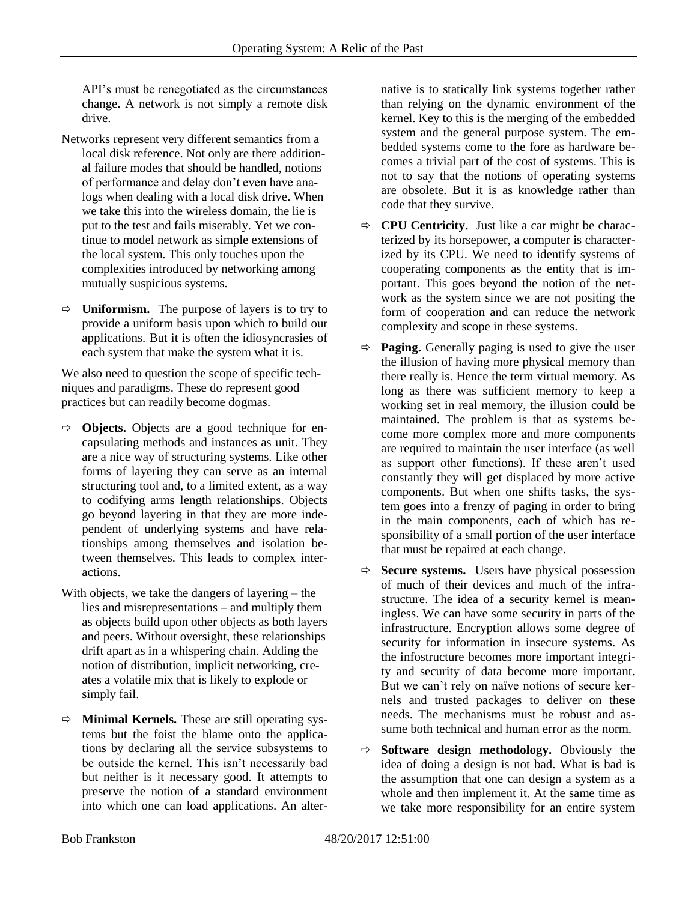API's must be renegotiated as the circumstances change. A network is not simply a remote disk drive.

- Networks represent very different semantics from a local disk reference. Not only are there additional failure modes that should be handled, notions of performance and delay don't even have analogs when dealing with a local disk drive. When we take this into the wireless domain, the lie is put to the test and fails miserably. Yet we continue to model network as simple extensions of the local system. This only touches upon the complexities introduced by networking among mutually suspicious systems.
- $\Rightarrow$  **Uniformism.** The purpose of layers is to try to provide a uniform basis upon which to build our applications. But it is often the idiosyncrasies of each system that make the system what it is.

We also need to question the scope of specific techniques and paradigms. These do represent good practices but can readily become dogmas.

- **Objects.** Objects are a good technique for encapsulating methods and instances as unit. They are a nice way of structuring systems. Like other forms of layering they can serve as an internal structuring tool and, to a limited extent, as a way to codifying arms length relationships. Objects go beyond layering in that they are more independent of underlying systems and have relationships among themselves and isolation between themselves. This leads to complex interactions.
- With objects, we take the dangers of layering the lies and misrepresentations – and multiply them as objects build upon other objects as both layers and peers. Without oversight, these relationships drift apart as in a whispering chain. Adding the notion of distribution, implicit networking, creates a volatile mix that is likely to explode or simply fail.
- **Minimal Kernels.** These are still operating systems but the foist the blame onto the applications by declaring all the service subsystems to be outside the kernel. This isn't necessarily bad but neither is it necessary good. It attempts to preserve the notion of a standard environment into which one can load applications. An alter-

native is to statically link systems together rather than relying on the dynamic environment of the kernel. Key to this is the merging of the embedded system and the general purpose system. The embedded systems come to the fore as hardware becomes a trivial part of the cost of systems. This is not to say that the notions of operating systems are obsolete. But it is as knowledge rather than code that they survive.

- $\Rightarrow$  **CPU Centricity.** Just like a car might be characterized by its horsepower, a computer is characterized by its CPU. We need to identify systems of cooperating components as the entity that is important. This goes beyond the notion of the network as the system since we are not positing the form of cooperation and can reduce the network complexity and scope in these systems.
- $\Rightarrow$  **Paging.** Generally paging is used to give the user the illusion of having more physical memory than there really is. Hence the term virtual memory. As long as there was sufficient memory to keep a working set in real memory, the illusion could be maintained. The problem is that as systems become more complex more and more components are required to maintain the user interface (as well as support other functions). If these aren't used constantly they will get displaced by more active components. But when one shifts tasks, the system goes into a frenzy of paging in order to bring in the main components, each of which has responsibility of a small portion of the user interface that must be repaired at each change.
- $\Rightarrow$  **Secure systems.** Users have physical possession of much of their devices and much of the infrastructure. The idea of a security kernel is meaningless. We can have some security in parts of the infrastructure. Encryption allows some degree of security for information in insecure systems. As the infostructure becomes more important integrity and security of data become more important. But we can't rely on naïve notions of secure kernels and trusted packages to deliver on these needs. The mechanisms must be robust and assume both technical and human error as the norm.
- $\Rightarrow$  **Software design methodology.** Obviously the idea of doing a design is not bad. What is bad is the assumption that one can design a system as a whole and then implement it. At the same time as we take more responsibility for an entire system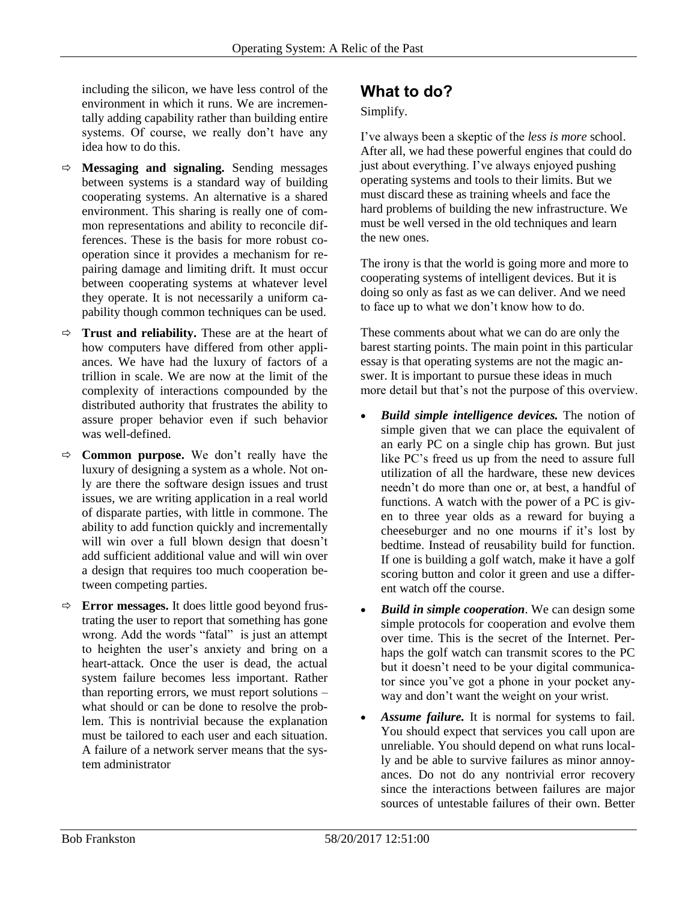including the silicon, we have less control of the environment in which it runs. We are incrementally adding capability rather than building entire systems. Of course, we really don't have any idea how to do this.

- **Messaging and signaling.** Sending messages between systems is a standard way of building cooperating systems. An alternative is a shared environment. This sharing is really one of common representations and ability to reconcile differences. These is the basis for more robust cooperation since it provides a mechanism for repairing damage and limiting drift. It must occur between cooperating systems at whatever level they operate. It is not necessarily a uniform capability though common techniques can be used.
- **Trust and reliability.** These are at the heart of how computers have differed from other appliances. We have had the luxury of factors of a trillion in scale. We are now at the limit of the complexity of interactions compounded by the distributed authority that frustrates the ability to assure proper behavior even if such behavior was well-defined.
- $\Rightarrow$  **Common purpose.** We don't really have the luxury of designing a system as a whole. Not only are there the software design issues and trust issues, we are writing application in a real world of disparate parties, with little in commone. The ability to add function quickly and incrementally will win over a full blown design that doesn't add sufficient additional value and will win over a design that requires too much cooperation between competing parties.
- $\Rightarrow$  **Error messages.** It does little good beyond frustrating the user to report that something has gone wrong. Add the words "fatal" is just an attempt to heighten the user's anxiety and bring on a heart-attack. Once the user is dead, the actual system failure becomes less important. Rather than reporting errors, we must report solutions – what should or can be done to resolve the problem. This is nontrivial because the explanation must be tailored to each user and each situation. A failure of a network server means that the system administrator

### **What to do?**

#### Simplify.

I've always been a skeptic of the *less is more* school. After all, we had these powerful engines that could do just about everything. I've always enjoyed pushing operating systems and tools to their limits. But we must discard these as training wheels and face the hard problems of building the new infrastructure. We must be well versed in the old techniques and learn the new ones.

The irony is that the world is going more and more to cooperating systems of intelligent devices. But it is doing so only as fast as we can deliver. And we need to face up to what we don't know how to do.

These comments about what we can do are only the barest starting points. The main point in this particular essay is that operating systems are not the magic answer. It is important to pursue these ideas in much more detail but that's not the purpose of this overview.

- *Build simple intelligence devices.* The notion of simple given that we can place the equivalent of an early PC on a single chip has grown. But just like PC's freed us up from the need to assure full utilization of all the hardware, these new devices needn't do more than one or, at best, a handful of functions. A watch with the power of a PC is given to three year olds as a reward for buying a cheeseburger and no one mourns if it's lost by bedtime. Instead of reusability build for function. If one is building a golf watch, make it have a golf scoring button and color it green and use a different watch off the course.
- *Build in simple cooperation*. We can design some simple protocols for cooperation and evolve them over time. This is the secret of the Internet. Perhaps the golf watch can transmit scores to the PC but it doesn't need to be your digital communicator since you've got a phone in your pocket anyway and don't want the weight on your wrist.
- Assume failure. It is normal for systems to fail. You should expect that services you call upon are unreliable. You should depend on what runs locally and be able to survive failures as minor annoyances. Do not do any nontrivial error recovery since the interactions between failures are major sources of untestable failures of their own. Better